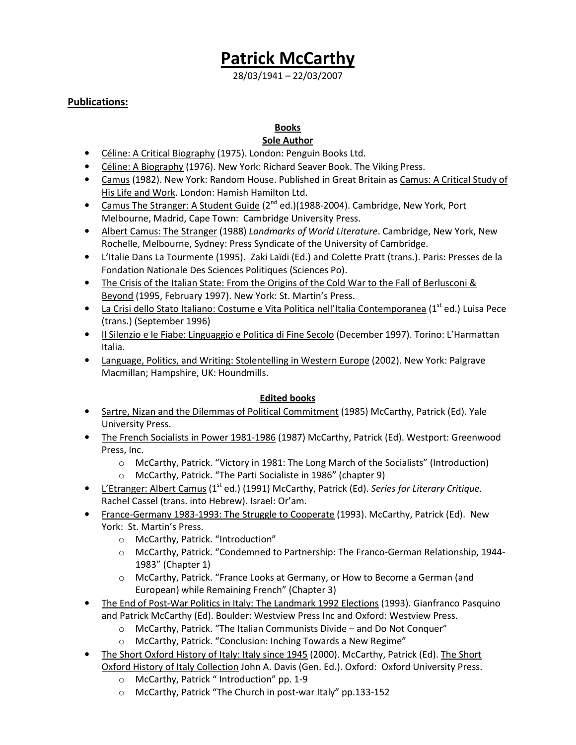# Patrick McCarthy

28/03/1941 – 22/03/2007

#### Publications:

## Books

## **Sole Author**

- Céline: A Critical Biography (1975). London: Penguin Books Ltd.
- Céline: A Biography (1976). New York: Richard Seaver Book. The Viking Press.
- Camus (1982). New York: Random House. Published in Great Britain as Camus: A Critical Study of His Life and Work. London: Hamish Hamilton Ltd.
- Camus The Stranger: A Student Guide  $(2^{nd}$  ed.)(1988-2004). Cambridge, New York, Port Melbourne, Madrid, Cape Town: Cambridge University Press.
- Albert Camus: The Stranger (1988) Landmarks of World Literature. Cambridge, New York, New Rochelle, Melbourne, Sydney: Press Syndicate of the University of Cambridge.
- L'Italie Dans La Tourmente (1995). Zaki Laïdi (Ed.) and Colette Pratt (trans.). Paris: Presses de la Fondation Nationale Des Sciences Politiques (Sciences Po).
- The Crisis of the Italian State: From the Origins of the Cold War to the Fall of Berlusconi & Beyond (1995, February 1997). New York: St. Martin's Press.
- La Crisi dello Stato Italiano: Costume e Vita Politica nell'Italia Contemporanea (1<sup>st</sup> ed.) Luisa Pece (trans.) (September 1996)
- Il Silenzio e le Fiabe: Linguaggio e Politica di Fine Secolo (December 1997). Torino: L'Harmattan Italia.
- Language, Politics, and Writing: Stolentelling in Western Europe (2002). New York: Palgrave Macmillan; Hampshire, UK: Houndmills.

#### Edited books

- Sartre, Nizan and the Dilemmas of Political Commitment (1985) McCarthy, Patrick (Ed). Yale University Press.
- The French Socialists in Power 1981-1986 (1987) McCarthy, Patrick (Ed). Westport: Greenwood Press, Inc.
	- o McCarthy, Patrick. "Victory in 1981: The Long March of the Socialists" (Introduction)
	- o McCarthy, Patrick. "The Parti Socialiste in 1986" (chapter 9)
- L'Etranger: Albert Camus (1<sup>st</sup> ed.) (1991) McCarthy, Patrick (Ed). Series for Literary Critique. Rachel Cassel (trans. into Hebrew). Israel: Or'am.
- France-Germany 1983-1993: The Struggle to Cooperate (1993). McCarthy, Patrick (Ed). New York: St. Martin's Press.
	- o McCarthy, Patrick. "Introduction"
	- o McCarthy, Patrick. "Condemned to Partnership: The Franco-German Relationship, 1944- 1983" (Chapter 1)
	- o McCarthy, Patrick. "France Looks at Germany, or How to Become a German (and European) while Remaining French" (Chapter 3)
- The End of Post-War Politics in Italy: The Landmark 1992 Elections (1993). Gianfranco Pasquino and Patrick McCarthy (Ed). Boulder: Westview Press Inc and Oxford: Westview Press.
	- o McCarthy, Patrick. "The Italian Communists Divide and Do Not Conquer"
	- o McCarthy, Patrick. "Conclusion: Inching Towards a New Regime"
- The Short Oxford History of Italy: Italy since 1945 (2000). McCarthy, Patrick (Ed). The Short Oxford History of Italy Collection John A. Davis (Gen. Ed.). Oxford: Oxford University Press.
	- o McCarthy, Patrick " Introduction" pp. 1-9
	- o McCarthy, Patrick "The Church in post-war Italy" pp.133-152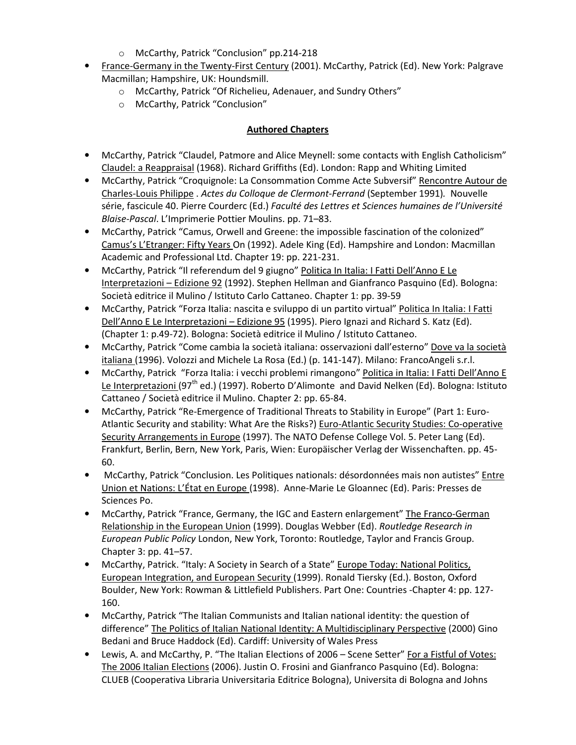- o McCarthy, Patrick "Conclusion" pp.214-218
- France-Germany in the Twenty-First Century (2001). McCarthy, Patrick (Ed). New York: Palgrave Macmillan; Hampshire, UK: Houndsmill.
	- o McCarthy, Patrick "Of Richelieu, Adenauer, and Sundry Others"
	- o McCarthy, Patrick "Conclusion"

## Authored Chapters

- McCarthy, Patrick "Claudel, Patmore and Alice Meynell: some contacts with English Catholicism" Claudel: a Reappraisal (1968). Richard Griffiths (Ed). London: Rapp and Whiting Limited
- McCarthy, Patrick "Croquignole: La Consommation Comme Acte Subversif" Rencontre Autour de Charles-Louis Philippe . Actes du Colloque de Clermont-Ferrand (September 1991). Nouvelle série, fascicule 40. Pierre Courderc (Ed.) Faculté des Lettres et Sciences humaines de l'Université Blaise-Pascal. L'Imprimerie Pottier Moulins. pp. 71–83.
- McCarthy, Patrick "Camus, Orwell and Greene: the impossible fascination of the colonized" Camus's L'Etranger: Fifty Years On (1992). Adele King (Ed). Hampshire and London: Macmillan Academic and Professional Ltd. Chapter 19: pp. 221-231.
- McCarthy, Patrick "Il referendum del 9 giugno" Politica In Italia: I Fatti Dell'Anno E Le Interpretazioni – Edizione 92 (1992). Stephen Hellman and Gianfranco Pasquino (Ed). Bologna: Società editrice il Mulino / Istituto Carlo Cattaneo. Chapter 1: pp. 39-59
- McCarthy, Patrick "Forza Italia: nascita e sviluppo di un partito virtual" Politica In Italia: I Fatti Dell'Anno E Le Interpretazioni – Edizione 95 (1995). Piero Ignazi and Richard S. Katz (Ed). (Chapter 1: p.49-72). Bologna: Società editrice il Mulino / Istituto Cattaneo.
- McCarthy, Patrick "Come cambia la società italiana: osservazioni dall'esterno" Dove va la società italiana (1996). Volozzi and Michele La Rosa (Ed.) (p. 141-147). Milano: FrancoAngeli s.r.l.
- McCarthy, Patrick "Forza Italia: i vecchi problemi rimangono" Politica in Italia: I Fatti Dell'Anno E Le Interpretazioni (97<sup>th</sup> ed.) (1997). Roberto D'Alimonte and David Nelken (Ed). Bologna: Istituto Cattaneo / Società editrice il Mulino. Chapter 2: pp. 65-84.
- McCarthy, Patrick "Re-Emergence of Traditional Threats to Stability in Europe" (Part 1: Euro-Atlantic Security and stability: What Are the Risks?) Euro-Atlantic Security Studies: Co-operative Security Arrangements in Europe (1997). The NATO Defense College Vol. 5. Peter Lang (Ed). Frankfurt, Berlin, Bern, New York, Paris, Wien: Europäischer Verlag der Wissenchaften. pp. 45- 60.
- McCarthy, Patrick "Conclusion. Les Politiques nationals: désordonnées mais non autistes" Entre Union et Nations: L'État en Europe (1998). Anne-Marie Le Gloannec (Ed). Paris: Presses de Sciences Po.
- McCarthy, Patrick "France, Germany, the IGC and Eastern enlargement" The Franco-German Relationship in the European Union (1999). Douglas Webber (Ed). Routledge Research in European Public Policy London, New York, Toronto: Routledge, Taylor and Francis Group. Chapter 3: pp. 41–57.
- McCarthy, Patrick. "Italy: A Society in Search of a State" Europe Today: National Politics, European Integration, and European Security (1999). Ronald Tiersky (Ed.). Boston, Oxford Boulder, New York: Rowman & Littlefield Publishers. Part One: Countries -Chapter 4: pp. 127- 160.
- McCarthy, Patrick "The Italian Communists and Italian national identity: the question of difference" The Politics of Italian National Identity: A Multidisciplinary Perspective (2000) Gino Bedani and Bruce Haddock (Ed). Cardiff: University of Wales Press
- Lewis, A. and McCarthy, P. "The Italian Elections of 2006 Scene Setter" For a Fistful of Votes: The 2006 Italian Elections (2006). Justin O. Frosini and Gianfranco Pasquino (Ed). Bologna: CLUEB (Cooperativa Libraria Universitaria Editrice Bologna), Universita di Bologna and Johns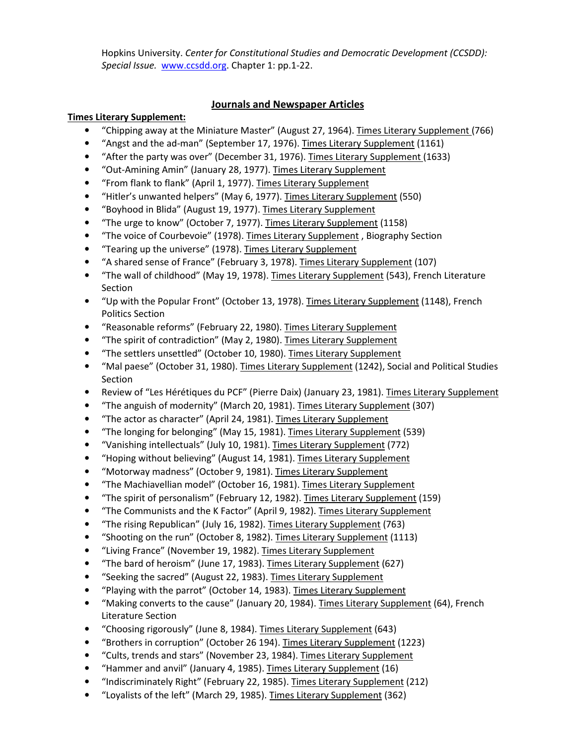Hopkins University. Center for Constitutional Studies and Democratic Development (CCSDD): Special Issue. www.ccsdd.org. Chapter 1: pp.1-22.

#### Journals and Newspaper Articles

#### Times Literary Supplement:

- "Chipping away at the Miniature Master" (August 27, 1964). Times Literary Supplement (766)
- "Angst and the ad-man" (September 17, 1976). Times Literary Supplement (1161)
- "After the party was over" (December 31, 1976). Times Literary Supplement (1633)
- "Out-Amining Amin" (January 28, 1977). Times Literary Supplement
- "From flank to flank" (April 1, 1977). Times Literary Supplement
- "Hitler's unwanted helpers" (May 6, 1977). Times Literary Supplement (550)
- "Boyhood in Blida" (August 19, 1977). Times Literary Supplement
- "The urge to know" (October 7, 1977). Times Literary Supplement (1158)
- "The voice of Courbevoie" (1978). Times Literary Supplement, Biography Section
- "Tearing up the universe" (1978). Times Literary Supplement
- "A shared sense of France" (February 3, 1978). Times Literary Supplement (107)
- "The wall of childhood" (May 19, 1978). Times Literary Supplement (543), French Literature Section
- "Up with the Popular Front" (October 13, 1978). Times Literary Supplement (1148), French Politics Section
- "Reasonable reforms" (February 22, 1980). Times Literary Supplement
- "The spirit of contradiction" (May 2, 1980). Times Literary Supplement
- "The settlers unsettled" (October 10, 1980). Times Literary Supplement
- "Mal paese" (October 31, 1980). Times Literary Supplement (1242), Social and Political Studies Section
- Review of "Les Hérétiques du PCF" (Pierre Daix) (January 23, 1981). Times Literary Supplement
- "The anguish of modernity" (March 20, 1981). Times Literary Supplement (307)
- "The actor as character" (April 24, 1981). Times Literary Supplement
- "The longing for belonging" (May 15, 1981). Times Literary Supplement (539)
- "Vanishing intellectuals" (July 10, 1981). Times Literary Supplement (772)
- "Hoping without believing" (August 14, 1981). Times Literary Supplement
- "Motorway madness" (October 9, 1981). Times Literary Supplement
- "The Machiavellian model" (October 16, 1981). Times Literary Supplement
- "The spirit of personalism" (February 12, 1982). Times Literary Supplement (159)
- "The Communists and the K Factor" (April 9, 1982). Times Literary Supplement
- "The rising Republican" (July 16, 1982). Times Literary Supplement (763)
- "Shooting on the run" (October 8, 1982). Times Literary Supplement (1113)
- "Living France" (November 19, 1982). Times Literary Supplement
- "The bard of heroism" (June 17, 1983). Times Literary Supplement (627)
- "Seeking the sacred" (August 22, 1983). Times Literary Supplement
- "Playing with the parrot" (October 14, 1983). Times Literary Supplement
- "Making converts to the cause" (January 20, 1984). Times Literary Supplement (64), French Literature Section
- "Choosing rigorously" (June 8, 1984). Times Literary Supplement (643)
- "Brothers in corruption" (October 26 194). Times Literary Supplement (1223)
- "Cults, trends and stars" (November 23, 1984). Times Literary Supplement
- "Hammer and anvil" (January 4, 1985). Times Literary Supplement (16)
- "Indiscriminately Right" (February 22, 1985). Times Literary Supplement (212)
- "Loyalists of the left" (March 29, 1985). Times Literary Supplement (362)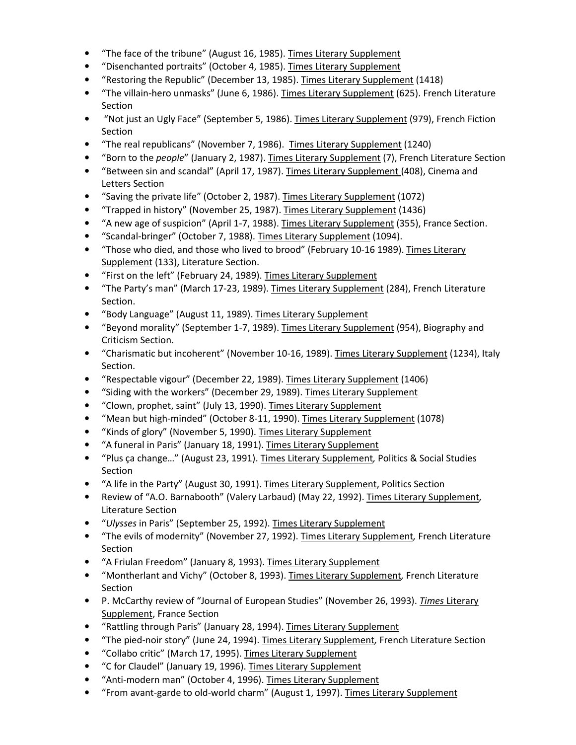- "The face of the tribune" (August 16, 1985). Times Literary Supplement
- "Disenchanted portraits" (October 4, 1985). Times Literary Supplement
- "Restoring the Republic" (December 13, 1985). Times Literary Supplement (1418)
- "The villain-hero unmasks" (June 6, 1986). Times Literary Supplement (625). French Literature Section
- "Not just an Ugly Face" (September 5, 1986). Times Literary Supplement (979), French Fiction Section
- "The real republicans" (November 7, 1986). Times Literary Supplement (1240)
- "Born to the *people"* (January 2, 1987). Times Literary Supplement (7), French Literature Section
- "Between sin and scandal" (April 17, 1987). Times Literary Supplement (408), Cinema and Letters Section
- "Saving the private life" (October 2, 1987). Times Literary Supplement (1072)
- "Trapped in history" (November 25, 1987). Times Literary Supplement (1436)
- "A new age of suspicion" (April 1-7, 1988). Times Literary Supplement (355), France Section.
- "Scandal-bringer" (October 7, 1988). Times Literary Supplement (1094).
- "Those who died, and those who lived to brood" (February 10-16 1989). Times Literary Supplement (133), Literature Section.
- "First on the left" (February 24, 1989). Times Literary Supplement
- "The Party's man" (March 17-23, 1989). Times Literary Supplement (284), French Literature Section.
- "Body Language" (August 11, 1989). Times Literary Supplement
- "Beyond morality" (September 1-7, 1989). Times Literary Supplement (954), Biography and Criticism Section.
- "Charismatic but incoherent" (November 10-16, 1989). Times Literary Supplement (1234), Italy Section.
- "Respectable vigour" (December 22, 1989). Times Literary Supplement (1406)
- "Siding with the workers" (December 29, 1989). Times Literary Supplement
- "Clown, prophet, saint" (July 13, 1990). Times Literary Supplement
- "Mean but high-minded" (October 8-11, 1990). Times Literary Supplement (1078)
- "Kinds of glory" (November 5, 1990). Times Literary Supplement
- "A funeral in Paris" (January 18, 1991). Times Literary Supplement
- "Plus ça change…" (August 23, 1991). Times Literary Supplement, Politics & Social Studies Section
- "A life in the Party" (August 30, 1991). Times Literary Supplement, Politics Section
- Review of "A.O. Barnabooth" (Valery Larbaud) (May 22, 1992). Times Literary Supplement, Literature Section
- "Ulysses in Paris" (September 25, 1992). Times Literary Supplement
- "The evils of modernity" (November 27, 1992). Times Literary Supplement, French Literature Section
- "A Friulan Freedom" (January 8, 1993). Times Literary Supplement
- "Montherlant and Vichy" (October 8, 1993). Times Literary Supplement, French Literature Section
- P. McCarthy review of "Journal of European Studies" (November 26, 1993). Times Literary Supplement, France Section
- "Rattling through Paris" (January 28, 1994). Times Literary Supplement
- "The pied-noir story" (June 24, 1994). Times Literary Supplement, French Literature Section
- "Collabo critic" (March 17, 1995). Times Literary Supplement
- "C for Claudel" (January 19, 1996). Times Literary Supplement
- "Anti-modern man" (October 4, 1996). Times Literary Supplement
- "From avant-garde to old-world charm" (August 1, 1997). Times Literary Supplement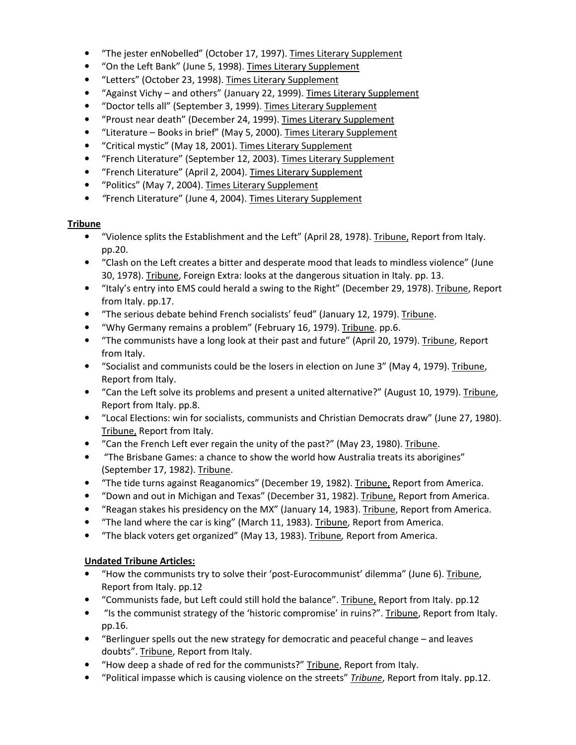- "The jester enNobelled" (October 17, 1997). Times Literary Supplement
- "On the Left Bank" (June 5, 1998). Times Literary Supplement
- "Letters" (October 23, 1998). Times Literary Supplement
- "Against Vichy and others" (January 22, 1999). Times Literary Supplement
- "Doctor tells all" (September 3, 1999). Times Literary Supplement
- "Proust near death" (December 24, 1999). Times Literary Supplement
- "Literature Books in brief" (May 5, 2000). Times Literary Supplement
- "Critical mystic" (May 18, 2001). Times Literary Supplement
- "French Literature" (September 12, 2003). Times Literary Supplement
- "French Literature" (April 2, 2004). Times Literary Supplement
- "Politics" (May 7, 2004). Times Literary Supplement
- "French Literature" (June 4, 2004). Times Literary Supplement

#### Tribune

- "Violence splits the Establishment and the Left" (April 28, 1978). Tribune, Report from Italy. pp.20.
- "Clash on the Left creates a bitter and desperate mood that leads to mindless violence" (June 30, 1978). Tribune, Foreign Extra: looks at the dangerous situation in Italy. pp. 13.
- "Italy's entry into EMS could herald a swing to the Right" (December 29, 1978). Tribune, Report from Italy. pp.17.
- "The serious debate behind French socialists' feud" (January 12, 1979). Tribune.
- "Why Germany remains a problem" (February 16, 1979). Tribune. pp.6.
- "The communists have a long look at their past and future" (April 20, 1979). Tribune, Report from Italy.
- "Socialist and communists could be the losers in election on June 3" (May 4, 1979). Tribune, Report from Italy.
- "Can the Left solve its problems and present a united alternative?" (August 10, 1979). Tribune, Report from Italy. pp.8.
- "Local Elections: win for socialists, communists and Christian Democrats draw" (June 27, 1980). Tribune, Report from Italy.
- "Can the French Left ever regain the unity of the past?" (May 23, 1980). Tribune.
- "The Brisbane Games: a chance to show the world how Australia treats its aborigines" (September 17, 1982). Tribune.
- "The tide turns against Reaganomics" (December 19, 1982). Tribune, Report from America.
- "Down and out in Michigan and Texas" (December 31, 1982). Tribune, Report from America.
- "Reagan stakes his presidency on the MX" (January 14, 1983). Tribune, Report from America.
- "The land where the car is king" (March 11, 1983). Tribune, Report from America.
- "The black voters get organized" (May 13, 1983). Tribune, Report from America.

### Undated Tribune Articles:

- "How the communists try to solve their 'post-Eurocommunist' dilemma" (June 6). Tribune, Report from Italy. pp.12
- "Communists fade, but Left could still hold the balance". Tribune, Report from Italy. pp.12
- "Is the communist strategy of the 'historic compromise' in ruins?". Tribune, Report from Italy. pp.16.
- "Berlinguer spells out the new strategy for democratic and peaceful change and leaves doubts". Tribune, Report from Italy.
- "How deep a shade of red for the communists?" Tribune, Report from Italy.
- "Political impasse which is causing violence on the streets" Tribune, Report from Italy. pp.12.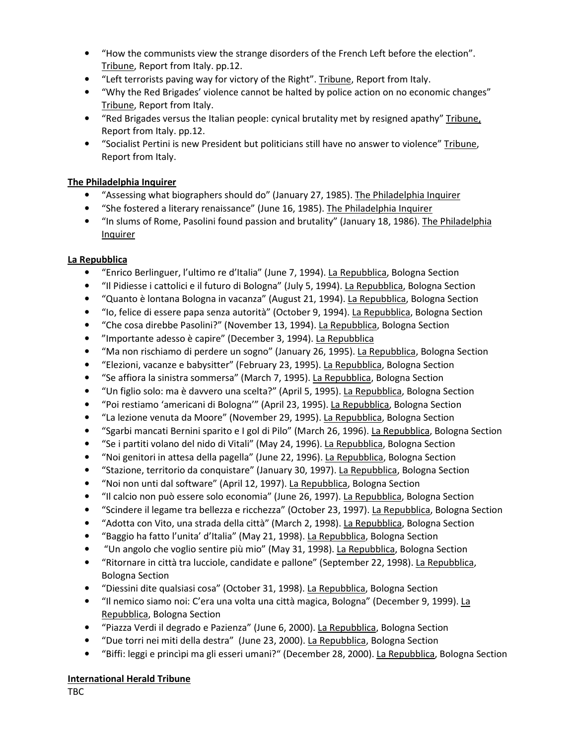- "How the communists view the strange disorders of the French Left before the election". Tribune, Report from Italy. pp.12.
- "Left terrorists paving way for victory of the Right". Tribune, Report from Italy.
- "Why the Red Brigades' violence cannot be halted by police action on no economic changes" Tribune, Report from Italy.
- "Red Brigades versus the Italian people: cynical brutality met by resigned apathy" Tribune, Report from Italy. pp.12.
- "Socialist Pertini is new President but politicians still have no answer to violence" Tribune, Report from Italy.

#### The Philadelphia Inquirer

- "Assessing what biographers should do" (January 27, 1985). The Philadelphia Inquirer
- "She fostered a literary renaissance" (June 16, 1985). The Philadelphia Inquirer
- "In slums of Rome, Pasolini found passion and brutality" (January 18, 1986). The Philadelphia Inquirer

#### La Repubblica

- "Enrico Berlinguer, l'ultimo re d'Italia" (June 7, 1994). La Repubblica, Bologna Section
- "Il Pidiesse i cattolici e il futuro di Bologna" (July 5, 1994). La Repubblica, Bologna Section
- "Quanto è lontana Bologna in vacanza" (August 21, 1994). La Repubblica, Bologna Section
- "Io, felice di essere papa senza autorità" (October 9, 1994). La Repubblica, Bologna Section
- "Che cosa direbbe Pasolini?" (November 13, 1994). La Repubblica, Bologna Section
- "Importante adesso è capire" (December 3, 1994). La Repubblica
- "Ma non rischiamo di perdere un sogno" (January 26, 1995). La Repubblica, Bologna Section
- "Elezioni, vacanze e babysitter" (February 23, 1995). La Repubblica, Bologna Section
- "Se affiora la sinistra sommersa" (March 7, 1995). La Repubblica, Bologna Section
- "Un figlio solo: ma è davvero una scelta?" (April 5, 1995). La Repubblica, Bologna Section
- "Poi restiamo 'americani di Bologna'" (April 23, 1995). La Repubblica, Bologna Section
- "La lezione venuta da Moore" (November 29, 1995). La Repubblica, Bologna Section
- "Sgarbi mancati Bernini sparito e I gol di Pilo" (March 26, 1996). La Repubblica, Bologna Section
- "Se i partiti volano del nido di Vitali" (May 24, 1996). La Repubblica, Bologna Section
- "Noi genitori in attesa della pagella" (June 22, 1996). La Repubblica, Bologna Section
- "Stazione, territorio da conquistare" (January 30, 1997). La Repubblica, Bologna Section
- "Noi non unti dal software" (April 12, 1997). La Repubblica, Bologna Section
- "Il calcio non può essere solo economia" (June 26, 1997). La Repubblica, Bologna Section
- "Scindere il legame tra bellezza e ricchezza" (October 23, 1997). La Repubblica, Bologna Section
- "Adotta con Vito, una strada della città" (March 2, 1998). La Repubblica, Bologna Section
- "Baggio ha fatto l'unita' d'Italia" (May 21, 1998). La Repubblica, Bologna Section
- "Un angolo che voglio sentire più mio" (May 31, 1998). La Repubblica, Bologna Section
- "Ritornare in città tra lucciole, candidate e pallone" (September 22, 1998). La Repubblica, Bologna Section
- "Diessini dite qualsiasi cosa" (October 31, 1998). La Repubblica, Bologna Section
- "Il nemico siamo noi: C'era una volta una città magica, Bologna" (December 9, 1999). La Repubblica, Bologna Section
- "Piazza Verdi il degrado e Pazienza" (June 6, 2000). La Repubblica, Bologna Section
- "Due torri nei miti della destra" (June 23, 2000). La Repubblica, Bologna Section
- "Biffi: leggi e princìpi ma gli esseri umani?" (December 28, 2000). La Repubblica, Bologna Section

#### International Herald Tribune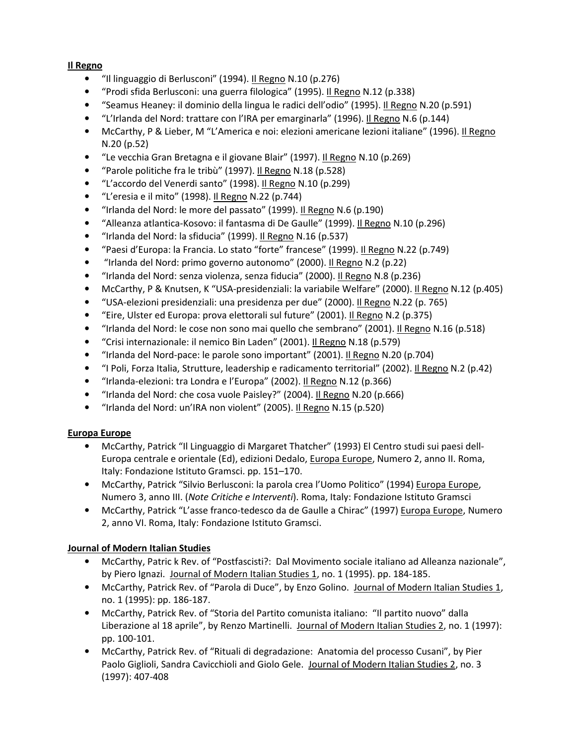#### Il Regno

- "Il linguaggio di Berlusconi" (1994). Il Regno N.10 (p.276)
- "Prodi sfida Berlusconi: una guerra filologica" (1995). Il Regno N.12 (p.338)
- "Seamus Heaney: il dominio della lingua le radici dell'odio" (1995). Il Regno N.20 (p.591)
- "L'Irlanda del Nord: trattare con l'IRA per emarginarla" (1996). Il Regno N.6 (p.144)
- McCarthy, P & Lieber, M "L'America e noi: elezioni americane lezioni italiane" (1996). Il Regno N.20 (p.52)
- "Le vecchia Gran Bretagna e il giovane Blair" (1997). Il Regno N.10 (p.269)
- "Parole politiche fra le tribù" (1997). Il Regno N.18 (p.528)
- "L'accordo del Venerdi santo" (1998). Il Regno N.10 (p.299)
- "L'eresia e il mito" (1998). Il Regno N.22 (p.744)
- "Irlanda del Nord: le more del passato" (1999). Il Regno N.6 (p.190)
- "Alleanza atlantica-Kosovo: il fantasma di De Gaulle" (1999). Il Regno N.10 (p.296)
- "Irlanda del Nord: la sfiducia" (1999). Il Regno N.16 (p.537)
- "Paesi d'Europa: la Francia. Lo stato "forte" francese" (1999). Il Regno N.22 (p.749)
- "Irlanda del Nord: primo governo autonomo" (2000). Il Regno N.2 (p.22)
- "Irlanda del Nord: senza violenza, senza fiducia" (2000). Il Regno N.8 (p.236)
- McCarthy, P & Knutsen, K "USA-presidenziali: la variabile Welfare" (2000). Il Regno N.12 (p.405)
- "USA-elezioni presidenziali: una presidenza per due" (2000). Il Regno N.22 (p. 765)
- "Eire, Ulster ed Europa: prova elettorali sul future" (2001). Il Regno N.2 (p.375)
- "Irlanda del Nord: le cose non sono mai quello che sembrano" (2001). Il Regno N.16 (p.518)
- "Crisi internazionale: il nemico Bin Laden" (2001). Il Regno N.18 (p.579)
- "Irlanda del Nord-pace: le parole sono important" (2001). Il Regno N.20 (p.704)
- "I Poli, Forza Italia, Strutture, leadership e radicamento territorial" (2002). Il Regno N.2 (p.42)
- "Irlanda-elezioni: tra Londra e l'Europa" (2002). Il Regno N.12 (p.366)
- "Irlanda del Nord: che cosa vuole Paisley?" (2004). Il Regno N.20 (p.666)
- "Irlanda del Nord: un'IRA non violent" (2005). Il Regno N.15 (p.520)

#### Europa Europe

- McCarthy, Patrick "Il Linguaggio di Margaret Thatcher" (1993) El Centro studi sui paesi dell-Europa centrale e orientale (Ed), edizioni Dedalo, Europa Europe, Numero 2, anno II. Roma, Italy: Fondazione Istituto Gramsci. pp. 151–170.
- McCarthy, Patrick "Silvio Berlusconi: la parola crea l'Uomo Politico" (1994) Europa Europe, Numero 3, anno III. (Note Critiche e Interventi). Roma, Italy: Fondazione Istituto Gramsci
- McCarthy, Patrick "L'asse franco-tedesco da de Gaulle a Chirac" (1997) Europa Europe, Numero 2, anno VI. Roma, Italy: Fondazione Istituto Gramsci.

#### Journal of Modern Italian Studies

- McCarthy, Patric k Rev. of "Postfascisti?: Dal Movimento sociale italiano ad Alleanza nazionale", by Piero Ignazi. Journal of Modern Italian Studies 1, no. 1 (1995). pp. 184-185.
- McCarthy, Patrick Rev. of "Parola di Duce", by Enzo Golino. Journal of Modern Italian Studies 1, no. 1 (1995): pp. 186-187.
- McCarthy, Patrick Rev. of "Storia del Partito comunista italiano: "Il partito nuovo" dalla Liberazione al 18 aprile", by Renzo Martinelli. Journal of Modern Italian Studies 2, no. 1 (1997): pp. 100-101.
- McCarthy, Patrick Rev. of "Rituali di degradazione: Anatomia del processo Cusani", by Pier Paolo Giglioli, Sandra Cavicchioli and Giolo Gele. Journal of Modern Italian Studies 2, no. 3 (1997): 407-408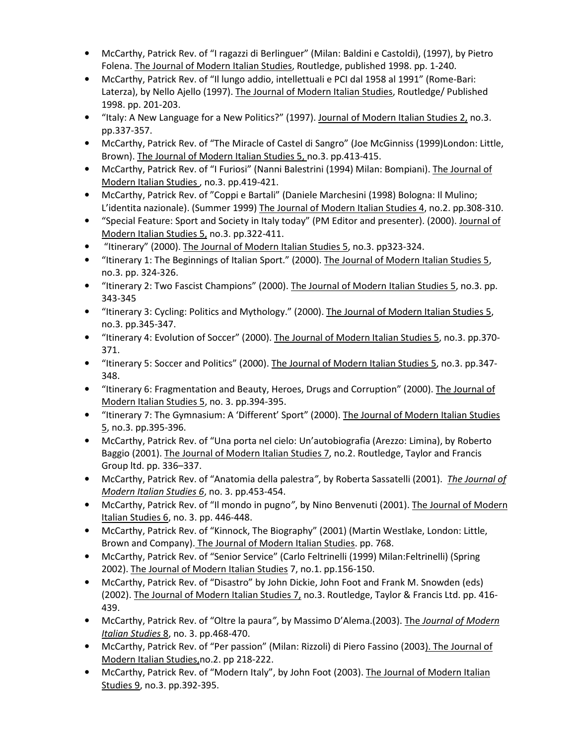- McCarthy, Patrick Rev. of "I ragazzi di Berlinguer" (Milan: Baldini e Castoldi), (1997), by Pietro Folena. The Journal of Modern Italian Studies, Routledge, published 1998. pp. 1-240.
- McCarthy, Patrick Rev. of "Il lungo addio, intellettuali e PCI dal 1958 al 1991" (Rome-Bari: Laterza), by Nello Ajello (1997). The Journal of Modern Italian Studies, Routledge/ Published 1998. pp. 201-203.
- "Italy: A New Language for a New Politics?" (1997). Journal of Modern Italian Studies 2, no.3. pp.337-357.
- McCarthy, Patrick Rev. of "The Miracle of Castel di Sangro" (Joe McGinniss (1999)London: Little, Brown). The Journal of Modern Italian Studies 5, no.3. pp.413-415.
- McCarthy, Patrick Rev. of "I Furiosi" (Nanni Balestrini (1994) Milan: Bompiani). The Journal of Modern Italian Studies , no.3. pp.419-421.
- McCarthy, Patrick Rev. of "Coppi e Bartali" (Daniele Marchesini (1998) Bologna: Il Mulino; L'identita nazionale). (Summer 1999) The Journal of Modern Italian Studies 4, no.2. pp.308-310.
- "Special Feature: Sport and Society in Italy today" (PM Editor and presenter). (2000). Journal of Modern Italian Studies 5, no.3. pp.322-411.
- "Itinerary" (2000). The Journal of Modern Italian Studies 5, no.3. pp323-324.
- "Itinerary 1: The Beginnings of Italian Sport." (2000). The Journal of Modern Italian Studies 5, no.3. pp. 324-326.
- "Itinerary 2: Two Fascist Champions" (2000). The Journal of Modern Italian Studies 5, no.3. pp. 343-345
- "Itinerary 3: Cycling: Politics and Mythology." (2000). The Journal of Modern Italian Studies 5, no.3. pp.345-347.
- "Itinerary 4: Evolution of Soccer" (2000). The Journal of Modern Italian Studies 5, no.3. pp.370- 371.
- "Itinerary 5: Soccer and Politics" (2000). The Journal of Modern Italian Studies 5, no.3. pp.347- 348.
- "Itinerary 6: Fragmentation and Beauty, Heroes, Drugs and Corruption" (2000). The Journal of Modern Italian Studies 5, no. 3. pp.394-395.
- "Itinerary 7: The Gymnasium: A 'Different' Sport" (2000). The Journal of Modern Italian Studies 5, no.3. pp.395-396.
- McCarthy, Patrick Rev. of "Una porta nel cielo: Un'autobiografia (Arezzo: Limina), by Roberto Baggio (2001). The Journal of Modern Italian Studies 7, no.2. Routledge, Taylor and Francis Group ltd. pp. 336–337.
- McCarthy, Patrick Rev. of "Anatomia della palestra", by Roberta Sassatelli (2001). The Journal of Modern Italian Studies 6, no. 3. pp.453-454.
- McCarthy, Patrick Rev. of "Il mondo in pugno", by Nino Benvenuti (2001). The Journal of Modern Italian Studies 6, no. 3. pp. 446-448.
- McCarthy, Patrick Rev. of "Kinnock, The Biography" (2001) (Martin Westlake, London: Little, Brown and Company). The Journal of Modern Italian Studies. pp. 768.
- McCarthy, Patrick Rev. of "Senior Service" (Carlo Feltrinelli (1999) Milan:Feltrinelli) (Spring 2002). The Journal of Modern Italian Studies 7, no.1. pp.156-150.
- McCarthy, Patrick Rev. of "Disastro" by John Dickie, John Foot and Frank M. Snowden (eds) (2002). The Journal of Modern Italian Studies 7, no.3. Routledge, Taylor & Francis Ltd. pp. 416- 439.
- McCarthy, Patrick Rev. of "Oltre la paura", by Massimo D'Alema.(2003). The Journal of Modern Italian Studies 8, no. 3. pp.468-470.
- McCarthy, Patrick Rev. of "Per passion" (Milan: Rizzoli) di Piero Fassino (2003). The Journal of Modern Italian Studies,no.2. pp 218-222.
- McCarthy, Patrick Rev. of "Modern Italy", by John Foot (2003). The Journal of Modern Italian Studies 9, no.3. pp.392-395.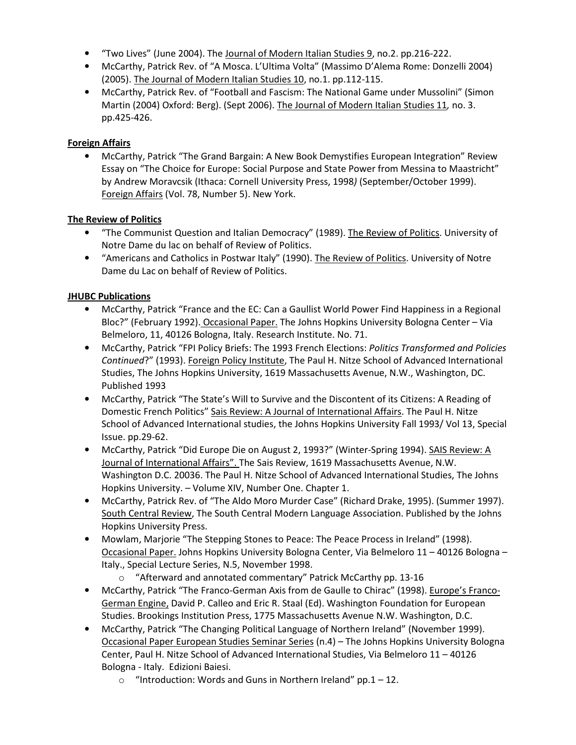- "Two Lives" (June 2004). The Journal of Modern Italian Studies 9, no.2. pp.216-222.
- McCarthy, Patrick Rev. of "A Mosca. L'Ultima Volta" (Massimo D'Alema Rome: Donzelli 2004) (2005). The Journal of Modern Italian Studies 10, no.1. pp.112-115.
- McCarthy, Patrick Rev. of "Football and Fascism: The National Game under Mussolini" (Simon Martin (2004) Oxford: Berg). (Sept 2006). The Journal of Modern Italian Studies 11, no. 3. pp.425-426.

#### Foreign Affairs

• McCarthy, Patrick "The Grand Bargain: A New Book Demystifies European Integration" Review Essay on "The Choice for Europe: Social Purpose and State Power from Messina to Maastricht" by Andrew Moravcsik (Ithaca: Cornell University Press, 1998) (September/October 1999). Foreign Affairs (Vol. 78, Number 5). New York.

#### The Review of Politics

- "The Communist Question and Italian Democracy" (1989). The Review of Politics. University of Notre Dame du lac on behalf of Review of Politics.
- "Americans and Catholics in Postwar Italy" (1990). The Review of Politics. University of Notre Dame du Lac on behalf of Review of Politics.

#### JHUBC Publications

- McCarthy, Patrick "France and the EC: Can a Gaullist World Power Find Happiness in a Regional Bloc?" (February 1992). Occasional Paper. The Johns Hopkins University Bologna Center – Via Belmeloro, 11, 40126 Bologna, Italy. Research Institute. No. 71.
- McCarthy, Patrick "FPI Policy Briefs: The 1993 French Elections: Politics Transformed and Policies Continued?" (1993). Foreign Policy Institute, The Paul H. Nitze School of Advanced International Studies, The Johns Hopkins University, 1619 Massachusetts Avenue, N.W., Washington, DC. Published 1993
- McCarthy, Patrick "The State's Will to Survive and the Discontent of its Citizens: A Reading of Domestic French Politics" Sais Review: A Journal of International Affairs. The Paul H. Nitze School of Advanced International studies, the Johns Hopkins University Fall 1993/ Vol 13, Special Issue. pp.29-62.
- McCarthy, Patrick "Did Europe Die on August 2, 1993?" (Winter-Spring 1994). SAIS Review: A Journal of International Affairs". The Sais Review, 1619 Massachusetts Avenue, N.W. Washington D.C. 20036. The Paul H. Nitze School of Advanced International Studies, The Johns Hopkins University. – Volume XIV, Number One. Chapter 1.
- McCarthy, Patrick Rev. of "The Aldo Moro Murder Case" (Richard Drake, 1995). (Summer 1997). South Central Review, The South Central Modern Language Association. Published by the Johns Hopkins University Press.
- Mowlam, Marjorie "The Stepping Stones to Peace: The Peace Process in Ireland" (1998). Occasional Paper. Johns Hopkins University Bologna Center, Via Belmeloro 11 – 40126 Bologna – Italy., Special Lecture Series, N.5, November 1998.
	- o "Afterward and annotated commentary" Patrick McCarthy pp. 13-16
- McCarthy, Patrick "The Franco-German Axis from de Gaulle to Chirac" (1998). Europe's Franco-German Engine, David P. Calleo and Eric R. Staal (Ed). Washington Foundation for European Studies. Brookings Institution Press, 1775 Massachusetts Avenue N.W. Washington, D.C.
- McCarthy, Patrick "The Changing Political Language of Northern Ireland" (November 1999). Occasional Paper European Studies Seminar Series (n.4) – The Johns Hopkins University Bologna Center, Paul H. Nitze School of Advanced International Studies, Via Belmeloro 11 – 40126 Bologna - Italy. Edizioni Baiesi.
	- $\circ$  "Introduction: Words and Guns in Northern Ireland" pp.1 12.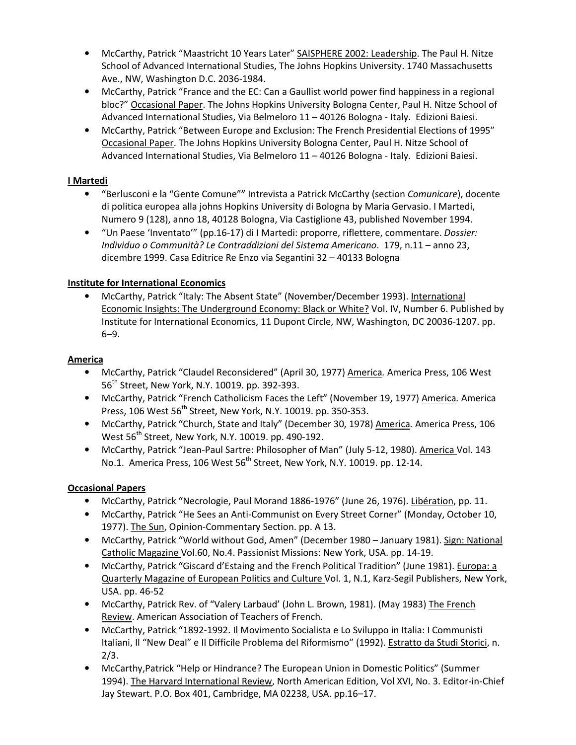- McCarthy, Patrick "Maastricht 10 Years Later" SAISPHERE 2002: Leadership. The Paul H. Nitze School of Advanced International Studies, The Johns Hopkins University. 1740 Massachusetts Ave., NW, Washington D.C. 2036-1984.
- McCarthy, Patrick "France and the EC: Can a Gaullist world power find happiness in a regional bloc?" Occasional Paper. The Johns Hopkins University Bologna Center, Paul H. Nitze School of Advanced International Studies, Via Belmeloro 11 – 40126 Bologna - Italy. Edizioni Baiesi.
- McCarthy, Patrick "Between Europe and Exclusion: The French Presidential Elections of 1995" Occasional Paper. The Johns Hopkins University Bologna Center, Paul H. Nitze School of Advanced International Studies, Via Belmeloro 11 – 40126 Bologna - Italy. Edizioni Baiesi.

#### I Martedi

- "Berlusconi e la "Gente Comune"" Intrevista a Patrick McCarthy (section Comunicare), docente di politica europea alla johns Hopkins University di Bologna by Maria Gervasio. I Martedi, Numero 9 (128), anno 18, 40128 Bologna, Via Castiglione 43, published November 1994.
- "Un Paese 'Inventato'" (pp.16-17) di I Martedi: proporre, riflettere, commentare. Dossier: Individuo o Communità? Le Contraddizioni del Sistema Americano. 179, n.11 – anno 23, dicembre 1999. Casa Editrice Re Enzo via Segantini 32 – 40133 Bologna

#### **Institute for International Economics**

• McCarthy, Patrick "Italy: The Absent State" (November/December 1993). International Economic Insights: The Underground Economy: Black or White? Vol. IV, Number 6. Published by Institute for International Economics, 11 Dupont Circle, NW, Washington, DC 20036-1207. pp. 6–9.

#### America

- McCarthy, Patrick "Claudel Reconsidered" (April 30, 1977) America. America Press, 106 West 56<sup>th</sup> Street, New York, N.Y. 10019. pp. 392-393.
- McCarthy, Patrick "French Catholicism Faces the Left" (November 19, 1977) America. America Press, 106 West  $56<sup>th</sup>$  Street, New York, N.Y. 10019. pp. 350-353.
- McCarthy, Patrick "Church, State and Italy" (December 30, 1978) America. America Press, 106 West 56<sup>th</sup> Street, New York, N.Y. 10019. pp. 490-192.
- McCarthy, Patrick "Jean-Paul Sartre: Philosopher of Man" (July 5-12, 1980). America Vol. 143 No.1. America Press, 106 West 56<sup>th</sup> Street, New York, N.Y. 10019. pp. 12-14.

#### Occasional Papers

- McCarthy, Patrick "Necrologie, Paul Morand 1886-1976" (June 26, 1976). Libération, pp. 11.
- McCarthy, Patrick "He Sees an Anti-Communist on Every Street Corner" (Monday, October 10, 1977). The Sun, Opinion-Commentary Section. pp. A 13.
- McCarthy, Patrick "World without God, Amen" (December 1980 January 1981). Sign: National Catholic Magazine Vol.60, No.4. Passionist Missions: New York, USA. pp. 14-19.
- McCarthy, Patrick "Giscard d'Estaing and the French Political Tradition" (June 1981). Europa: a Quarterly Magazine of European Politics and Culture Vol. 1, N.1, Karz-Segil Publishers, New York, USA. pp. 46-52
- McCarthy, Patrick Rev. of "Valery Larbaud' (John L. Brown, 1981). (May 1983) The French Review. American Association of Teachers of French.
- McCarthy, Patrick "1892-1992. Il Movimento Socialista e Lo Sviluppo in Italia: I Communisti Italiani, Il "New Deal" e Il Difficile Problema del Riformismo" (1992). Estratto da Studi Storici, n. 2/3.
- McCarthy,Patrick "Help or Hindrance? The European Union in Domestic Politics" (Summer 1994). The Harvard International Review, North American Edition, Vol XVI, No. 3. Editor-in-Chief Jay Stewart. P.O. Box 401, Cambridge, MA 02238, USA. pp.16–17.